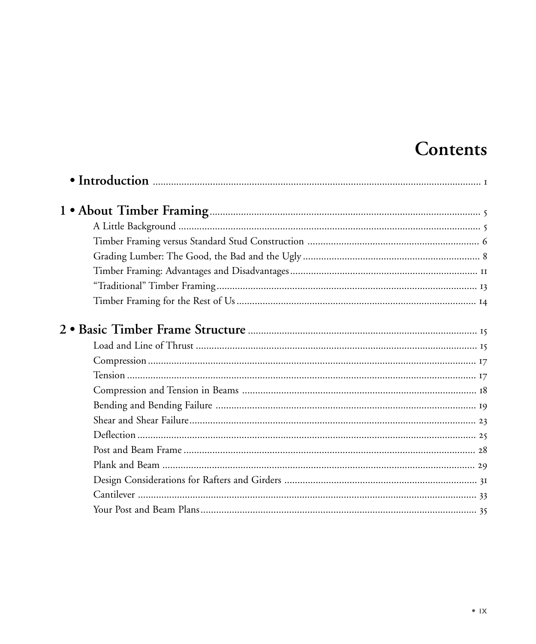## Contents